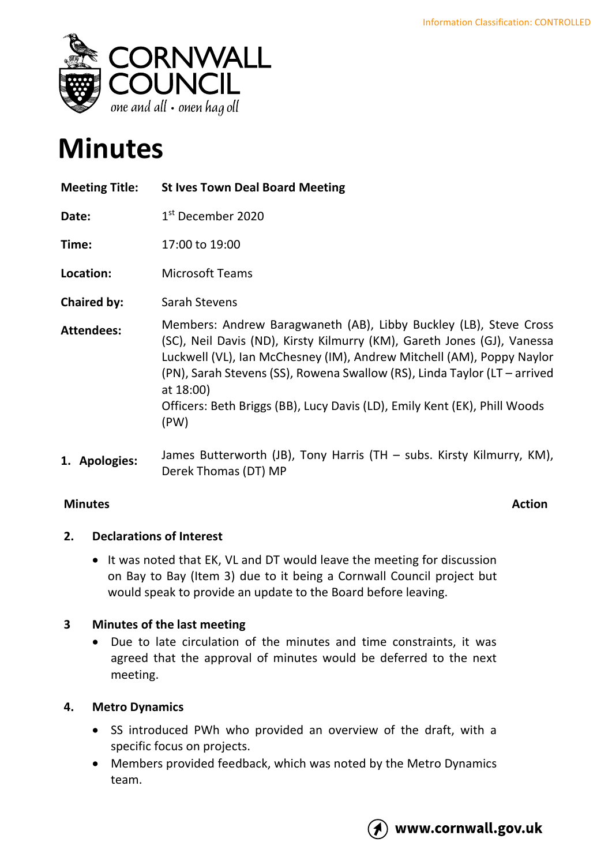

# **Minutes**

| <b>Meeting Title:</b> | <b>St Ives Town Deal Board Meeting</b>                                                                                                                                                                                                                                                                                                                                                               |
|-----------------------|------------------------------------------------------------------------------------------------------------------------------------------------------------------------------------------------------------------------------------------------------------------------------------------------------------------------------------------------------------------------------------------------------|
| Date:                 | 1 <sup>st</sup> December 2020                                                                                                                                                                                                                                                                                                                                                                        |
| Time:                 | 17:00 to 19:00                                                                                                                                                                                                                                                                                                                                                                                       |
| Location:             | <b>Microsoft Teams</b>                                                                                                                                                                                                                                                                                                                                                                               |
| <b>Chaired by:</b>    | Sarah Stevens                                                                                                                                                                                                                                                                                                                                                                                        |
| <b>Attendees:</b>     | Members: Andrew Baragwaneth (AB), Libby Buckley (LB), Steve Cross<br>(SC), Neil Davis (ND), Kirsty Kilmurry (KM), Gareth Jones (GJ), Vanessa<br>Luckwell (VL), Ian McChesney (IM), Andrew Mitchell (AM), Poppy Naylor<br>(PN), Sarah Stevens (SS), Rowena Swallow (RS), Linda Taylor (LT - arrived<br>at 18:00)<br>Officers: Beth Briggs (BB), Lucy Davis (LD), Emily Kent (EK), Phill Woods<br>(PW) |
| 1. Apologies:         | James Butterworth (JB), Tony Harris (TH – subs. Kirsty Kilmurry, KM),<br>Derek Thomas (DT) MP                                                                                                                                                                                                                                                                                                        |

# **Minutes Action**

# **2. Declarations of Interest**

• It was noted that EK, VL and DT would leave the meeting for discussion on Bay to Bay (Item 3) due to it being a Cornwall Council project but would speak to provide an update to the Board before leaving.

# **3 Minutes of the last meeting**

• Due to late circulation of the minutes and time constraints, it was agreed that the approval of minutes would be deferred to the next meeting.

# **4. Metro Dynamics**

- SS introduced PWh who provided an overview of the draft, with a specific focus on projects.
- Members provided feedback, which was noted by the Metro Dynamics team.

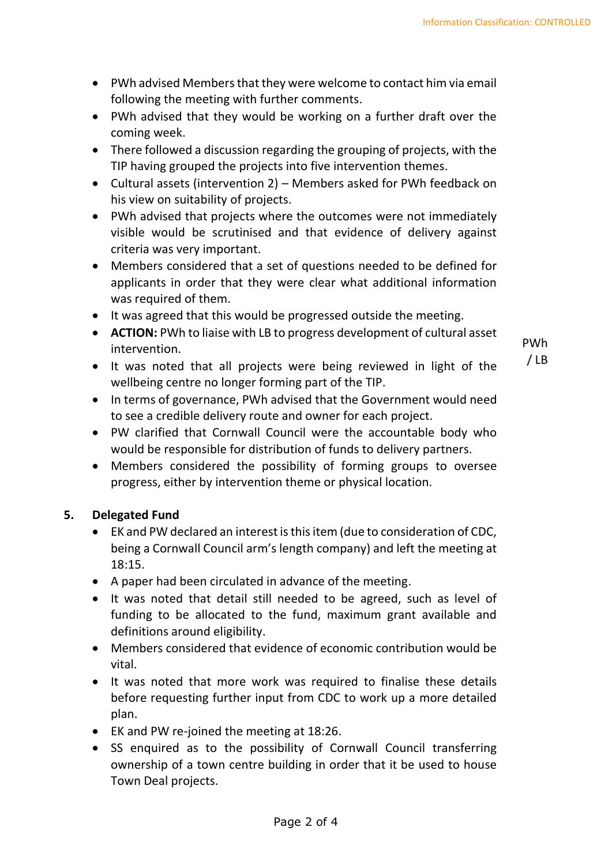- PWh advised Members that they were welcome to contact him via email following the meeting with further comments.
- PWh advised that they would be working on a further draft over the coming week.
- There followed a discussion regarding the grouping of projects, with the TIP having grouped the projects into five intervention themes.
- Cultural assets (intervention 2) Members asked for PWh feedback on his view on suitability of projects.
- PWh advised that projects where the outcomes were not immediately visible would be scrutinised and that evidence of delivery against criteria was very important.
- Members considered that a set of questions needed to be defined for applicants in order that they were clear what additional information was required of them.
- It was agreed that this would be progressed outside the meeting.
- **ACTION:** PWh to liaise with LB to progress development of cultural asset intervention.
- It was noted that all projects were being reviewed in light of the wellbeing centre no longer forming part of the TIP.

PWh / LB

- In terms of governance, PWh advised that the Government would need to see a credible delivery route and owner for each project.
- PW clarified that Cornwall Council were the accountable body who would be responsible for distribution of funds to delivery partners.
- Members considered the possibility of forming groups to oversee progress, either by intervention theme or physical location.

# **5. Delegated Fund**

- EK and PW declared an interest is this item (due to consideration of CDC, being a Cornwall Council arm's length company) and left the meeting at 18:15.
- A paper had been circulated in advance of the meeting.
- It was noted that detail still needed to be agreed, such as level of funding to be allocated to the fund, maximum grant available and definitions around eligibility.
- Members considered that evidence of economic contribution would be vital.
- It was noted that more work was required to finalise these details before requesting further input from CDC to work up a more detailed plan.
- EK and PW re-joined the meeting at 18:26.
- SS enquired as to the possibility of Cornwall Council transferring ownership of a town centre building in order that it be used to house Town Deal projects.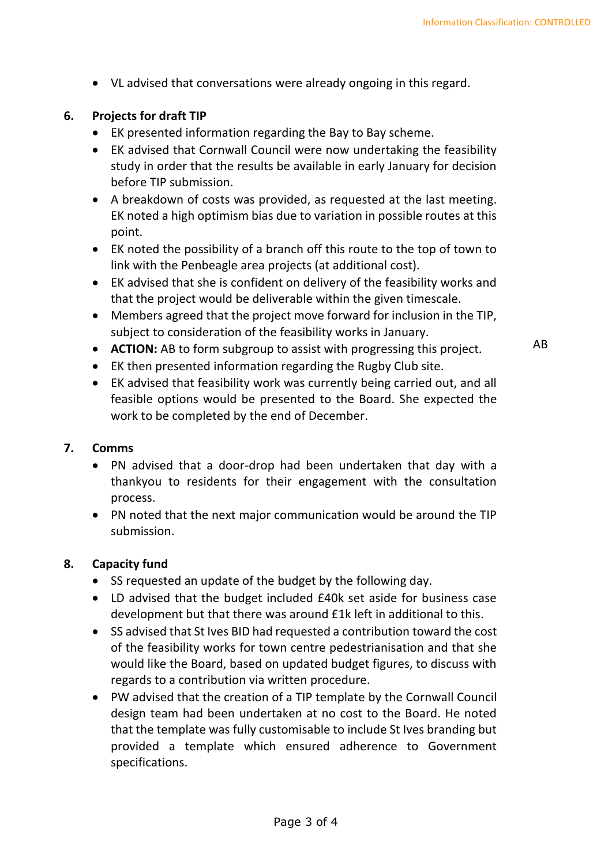• VL advised that conversations were already ongoing in this regard.

#### **6. Projects for draft TIP**

- EK presented information regarding the Bay to Bay scheme.
- EK advised that Cornwall Council were now undertaking the feasibility study in order that the results be available in early January for decision before TIP submission.
- A breakdown of costs was provided, as requested at the last meeting. EK noted a high optimism bias due to variation in possible routes at this point.
- EK noted the possibility of a branch off this route to the top of town to link with the Penbeagle area projects (at additional cost).
- EK advised that she is confident on delivery of the feasibility works and that the project would be deliverable within the given timescale.
- Members agreed that the project move forward for inclusion in the TIP, subject to consideration of the feasibility works in January.
- **ACTION:** AB to form subgroup to assist with progressing this project.
- EK then presented information regarding the Rugby Club site.
- EK advised that feasibility work was currently being carried out, and all feasible options would be presented to the Board. She expected the work to be completed by the end of December.

#### **7. Comms**

- PN advised that a door-drop had been undertaken that day with a thankyou to residents for their engagement with the consultation process.
- PN noted that the next major communication would be around the TIP submission.

#### **8. Capacity fund**

- SS requested an update of the budget by the following day.
- LD advised that the budget included £40k set aside for business case development but that there was around £1k left in additional to this.
- SS advised that St Ives BID had requested a contribution toward the cost of the feasibility works for town centre pedestrianisation and that she would like the Board, based on updated budget figures, to discuss with regards to a contribution via written procedure.
- PW advised that the creation of a TIP template by the Cornwall Council design team had been undertaken at no cost to the Board. He noted that the template was fully customisable to include St Ives branding but provided a template which ensured adherence to Government specifications.

AB